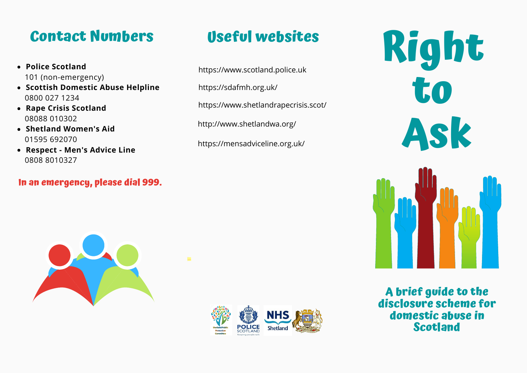### **Contact Numbers**

- **Police Scotland** 101 (non-emergency)
- **Scottish Domestic Abuse Helpline** 0800 027 1234
- **Rape Crisis Scotland** 08088 010302
- **Shetland Women's Aid** 01595 692070
- **Respect - Men's Advice Line** 0808 8010327

#### **In an emergency, please dial 999.**

### **Useful websites**

https://www.scotland.police.uk

https://sdafmh.org.uk/

https://www.shetlandrapecrisis.scot/

http://www.shetlandwa.org/

https://mensadviceline.org.uk/





# **Right to Ask**



**A brief guide to the disclosure scheme for domestic abuse in Scotland**